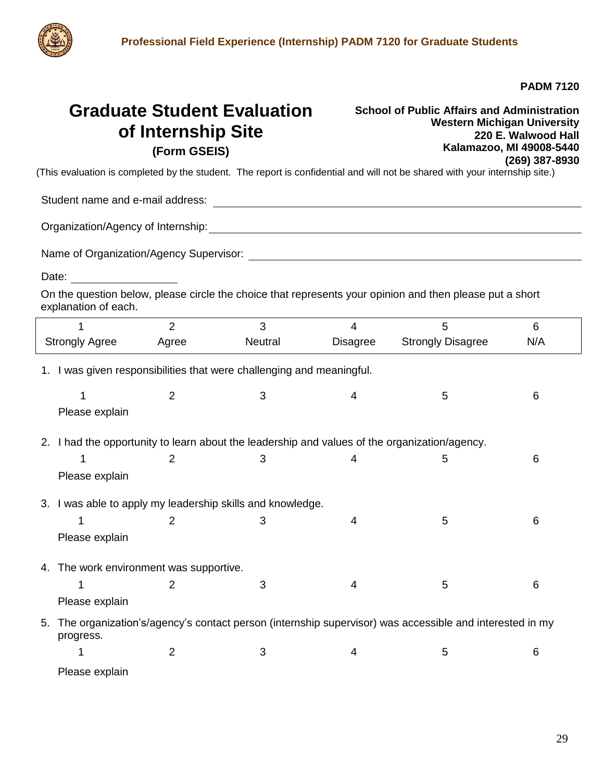

**PADM 7120**

## **Graduate Student Evaluation of Internship Site (Form GSEIS)**

**School of Public Affairs and Administration Western Michigan University 220 E. Walwood Hall Kalamazoo, MI 49008-5440 (269) 387-8930**

(This evaluation is completed by the student. The report is confidential and will not be shared with your internship site.)

Student name and e-mail address:

Organization/Agency of Internship:

Name of Organization/Agency Supervisor:

Date: **Date: Date: Date: Date: Date:** 

On the question below, please circle the choice that represents your opinion and then please put a short explanation of each.

|                                         |                                                                                                                     | $\overline{2}$ | 3       | 4               | 5                        | 6   |  |  |  |
|-----------------------------------------|---------------------------------------------------------------------------------------------------------------------|----------------|---------|-----------------|--------------------------|-----|--|--|--|
| <b>Strongly Agree</b>                   |                                                                                                                     | Agree          | Neutral | <b>Disagree</b> | <b>Strongly Disagree</b> | N/A |  |  |  |
|                                         | 1. I was given responsibilities that were challenging and meaningful.                                               |                |         |                 |                          |     |  |  |  |
|                                         | 1                                                                                                                   | $\overline{2}$ | 3       | 4               | 5                        | 6   |  |  |  |
|                                         | Please explain                                                                                                      |                |         |                 |                          |     |  |  |  |
| 2.                                      | I had the opportunity to learn about the leadership and values of the organization/agency.                          |                |         |                 |                          |     |  |  |  |
|                                         |                                                                                                                     | 2              | 3       | 4               | 5                        | 6   |  |  |  |
|                                         | Please explain                                                                                                      |                |         |                 |                          |     |  |  |  |
|                                         | 3. I was able to apply my leadership skills and knowledge.                                                          |                |         |                 |                          |     |  |  |  |
|                                         |                                                                                                                     | 2              | 3       | 4               | 5                        | 6   |  |  |  |
|                                         | Please explain                                                                                                      |                |         |                 |                          |     |  |  |  |
| 4. The work environment was supportive. |                                                                                                                     |                |         |                 |                          |     |  |  |  |
|                                         |                                                                                                                     | $\overline{2}$ | 3       | 4               | 5                        | 6   |  |  |  |
|                                         | Please explain                                                                                                      |                |         |                 |                          |     |  |  |  |
| 5.                                      | The organization's/agency's contact person (internship supervisor) was accessible and interested in my<br>progress. |                |         |                 |                          |     |  |  |  |
|                                         |                                                                                                                     | 2              | 3       | 4               | 5                        | 6   |  |  |  |
|                                         | Please explain                                                                                                      |                |         |                 |                          |     |  |  |  |